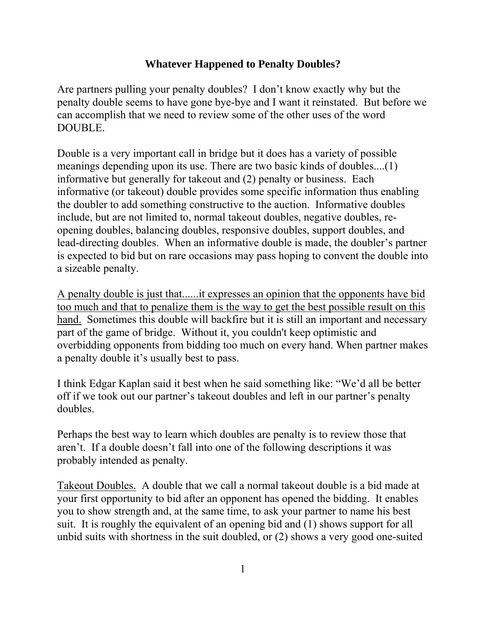## **Whatever Happened to Penalty Doubles?**

Are partners pulling your penalty doubles? I don't know exactly why but the penalty double seems to have gone bye-bye and I want it reinstated. But before we can accomplish that we need to review some of the other uses of the word DOUBLE.

Double is a very important call in bridge but it does has a variety of possible meanings depending upon its use. There are two basic kinds of doubles....(1) informative but generally for takeout and (2) penalty or business. Each informative (or takeout) double provides some specific information thus enabling the doubler to add something constructive to the auction. Informative doubles include, but are not limited to, normal takeout doubles, negative doubles, reopening doubles, balancing doubles, responsive doubles, support doubles, and lead-directing doubles. When an informative double is made, the doubler's partner is expected to bid but on rare occasions may pass hoping to convent the double into a sizeable penalty.

A penalty double is just that......it expresses an opinion that the opponents have bid too much and that to penalize them is the way to get the best possible result on this hand. Sometimes this double will backfire but it is still an important and necessary part of the game of bridge. Without it, you couldn't keep optimistic and overbidding opponents from bidding too much on every hand. When partner makes a penalty double it's usually best to pass.

I think Edgar Kaplan said it best when he said something like: "We'd all be better off if we took out our partner's takeout doubles and left in our partner's penalty doubles.

Perhaps the best way to learn which doubles are penalty is to review those that aren't. If a double doesn't fall into one of the following descriptions it was probably intended as penalty.

Takeout Doubles. A double that we call a normal takeout double is a bid made at your first opportunity to bid after an opponent has opened the bidding. It enables you to show strength and, at the same time, to ask your partner to name his best suit. It is roughly the equivalent of an opening bid and (1) shows support for all unbid suits with shortness in the suit doubled, or (2) shows a very good one-suited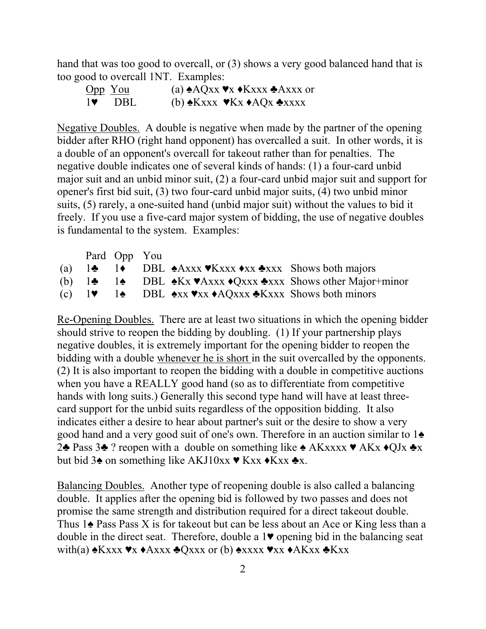hand that was too good to overcall, or (3) shows a very good balanced hand that is too good to overcall 1NT. Examples:

| Opp You        | (a) $\triangle AQxx \blacktriangleright x \triangleleft Kxxx \triangleleft Axxx$ or |
|----------------|-------------------------------------------------------------------------------------|
| $1\bullet$ DBL | (b) $\triangle$ Kxxx $\triangleleft$ Kx $\triangleleft$ AQx $\triangleleft$ xxxx    |

Negative Doubles. A double is negative when made by the partner of the opening bidder after RHO (right hand opponent) has overcalled a suit. In other words, it is a double of an opponent's overcall for takeout rather than for penalties. The negative double indicates one of several kinds of hands: (1) a four-card unbid major suit and an unbid minor suit, (2) a four-card unbid major suit and support for opener's first bid suit, (3) two four-card unbid major suits, (4) two unbid minor suits, (5) rarely, a one-suited hand (unbid major suit) without the values to bid it freely. If you use a five-card major system of bidding, the use of negative doubles is fundamental to the system. Examples:

|  | Pard Opp You |                                                                                                                                               |                                                                                                                           |
|--|--------------|-----------------------------------------------------------------------------------------------------------------------------------------------|---------------------------------------------------------------------------------------------------------------------------|
|  |              | (a) $1\clubsuit$ 1 • DBL $\triangle$ Axxx $\blacktriangledown$ Kxxx $\triangle$ xxx Shows both majors                                         |                                                                                                                           |
|  |              |                                                                                                                                               | (b) $1\clubsuit$ 14 DBL $\triangle$ Kx $\blacktriangledown$ Axxx $\triangle$ Qxxx $\triangle$ xxx Shows other Major+minor |
|  |              | (c) $1\blacktriangleright$ 14 DBL $\blacktriangle$ xx $\blacktriangleright$ xx $\blacktriangle$ AQxxx $\blacktriangle$ Kxxx Shows both minors |                                                                                                                           |

Re-Opening Doubles. There are at least two situations in which the opening bidder should strive to reopen the bidding by doubling. (1) If your partnership plays negative doubles, it is extremely important for the opening bidder to reopen the bidding with a double whenever he is short in the suit overcalled by the opponents. (2) It is also important to reopen the bidding with a double in competitive auctions when you have a REALLY good hand (so as to differentiate from competitive hands with long suits.) Generally this second type hand will have at least threecard support for the unbid suits regardless of the opposition bidding. It also indicates either a desire to hear about partner's suit or the desire to show a very good hand and a very good suit of one's own. Therefore in an auction similar to 1♠ 2♣ Pass 3♣ ? reopen with a double on something like ♠ AKxxxx ♥ AKx ♦QJx ♣x but bid 3 $\triangle$  on something like AKJ10xx  $\blacktriangleright$  Kxx  $\blacktriangleright$  Kxx  $\blacktriangleright$  X.

Balancing Doubles. Another type of reopening double is also called a balancing double. It applies after the opening bid is followed by two passes and does not promise the same strength and distribution required for a direct takeout double. Thus  $1\spadesuit$  Pass Pass X is for takeout but can be less about an Ace or King less than a double in the direct seat. Therefore, double a 1♥ opening bid in the balancing seat with(a)  $\triangle$ Kxxx  $\triangledown x \triangle A$ xxx  $\triangle Q$ xxx or (b)  $\triangle x$ xxx  $\triangledown x \triangle A$ Kxx  $\triangle K$ xx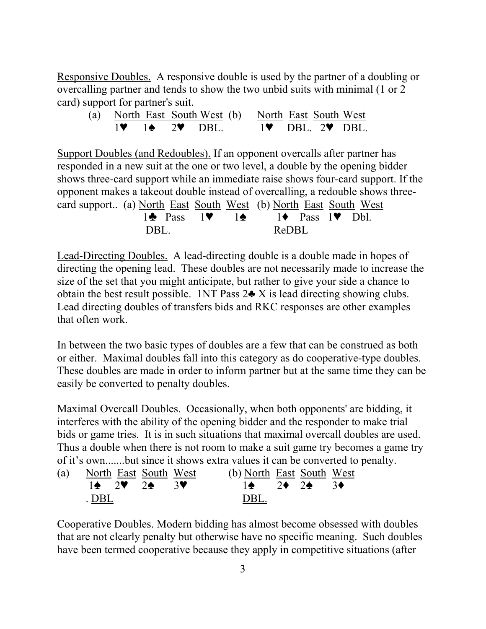Responsive Doubles. A responsive double is used by the partner of a doubling or overcalling partner and tends to show the two unbid suits with minimal (1 or 2) card) support for partner's suit.

|  |  | (a) North East South West (b) North East South West |  |  |                 |
|--|--|-----------------------------------------------------|--|--|-----------------|
|  |  | $1$ $\bullet$ $2$ DBL.                              |  |  | $1$ DBL $2$ DBL |

Support Doubles (and Redoubles). If an opponent overcalls after partner has responded in a new suit at the one or two level, a double by the opening bidder shows three-card support while an immediate raise shows four-card support. If the opponent makes a takeout double instead of overcalling, a redouble shows threecard support.. (a) North East South West (b) North East South West 14 Pass  $1\blacktriangledown$  14  $1 \bullet$  Pass  $1 \bullet$  Dbl DBL. ReDBL

Lead-Directing Doubles. A lead-directing double is a double made in hopes of directing the opening lead. These doubles are not necessarily made to increase the size of the set that you might anticipate, but rather to give your side a chance to obtain the best result possible. 1NT Pass  $2\clubsuit X$  is lead directing showing clubs. Lead directing doubles of transfers bids and RKC responses are other examples that often work.

In between the two basic types of doubles are a few that can be construed as both or either. Maximal doubles fall into this category as do cooperative-type doubles. These doubles are made in order to inform partner but at the same time they can be easily be converted to penalty doubles.

Maximal Overcall Doubles. Occasionally, when both opponents' are bidding, it interferes with the ability of the opening bidder and the responder to make trial bids or game tries. It is in such situations that maximal overcall doubles are used. Thus a double when there is not room to make a suit game try becomes a game try of it's own.......but since it shows extra values it can be converted to penalty.

|       | (a) North East South West | (b) North East South West                                   |  |  |
|-------|---------------------------|-------------------------------------------------------------|--|--|
|       | $14 \t2$ $24 \t3$         | $1 \spadesuit$ 2 $\spadesuit$ 2 $\spadesuit$ 3 $\spadesuit$ |  |  |
| . DBL |                           | DBL                                                         |  |  |

Cooperative Doubles. Modern bidding has almost become obsessed with doubles that are not clearly penalty but otherwise have no specific meaning. Such doubles have been termed cooperative because they apply in competitive situations (after